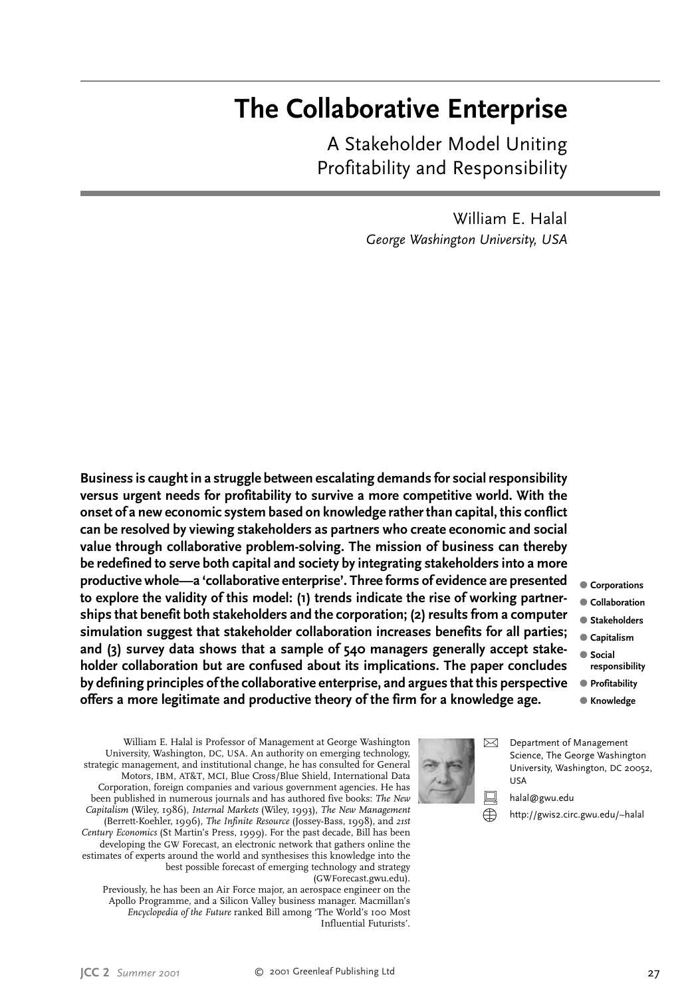# **The Collaborative Enterprise**

A Stakeholder Model Uniting Profitability and Responsibility

> William E. Halal *George Washington University, USA*

**Business is caught in a struggle between escalating demands for social responsibility versus urgent needs for profitability to survive a more competitive world. With the onset of a new economic system based on knowledge rather than capital, this conflict can be resolved by viewing stakeholders as partners who create economic and social value through collaborative problem-solving. The mission of business can thereby be redefined to serve both capital and society by integrating stakeholders into a more productive whole—a 'collaborative enterprise'. Three forms of evidence are presented to explore the validity of this model: (1) trends indicate the rise of working partnerships that benefit both stakeholders and the corporation; (2) results from a computer simulation suggest that stakeholder collaboration increases benefits for all parties; and (3) survey data shows that a sample of 540 managers generally accept stakeholder collaboration but are confused about its implications. The paper concludes by defining principles of the collaborative enterprise, and argues that this perspective offers a more legitimate and productive theory of the firm for a knowledge age.**

● **Corporations**

- **Collaboration**
- **Stakeholders**
- **Capitalism**
- **Social**
- **responsibility**
- **Profitability**
- **Knowledge**

William E. Halal is Professor of Management at George Washington University, Washington, DC, USA. An authority on emerging technology, strategic management, and institutional change, he has consulted for General Motors, IBM, AT&T, MCI, Blue Cross/Blue Shield, International Data Corporation, foreign companies and various government agencies. He has been published in numerous journals and has authored five books: *The New Capitalism* (Wiley, 1986), *Internal Markets* (Wiley, 1993), *The New Management* (Berrett-Koehler, 1996), *The Infinite Resource* (Jossey-Bass, 1998), and *21st Century Economics* (St Martin's Press, 1999). For the past decade, Bill has been developing the GW Forecast, an electronic network that gathers online the estimates of experts around the world and synthesises this knowledge into the best possible forecast of emerging technology and strategy

(GWForecast.gwu.edu). Previously, he has been an Air Force major, an aerospace engineer on the Apollo Programme, and a Silicon Valley business manager. Macmillan's *Encyclopedia of the Future* ranked Bill among 'The World's 100 Most Influential Futurists'.



 Department of Management Science, The George Washington University, Washington, DC 20052, USA

halal@gwu.edu

http://gwis2.circ.gwu.edu/~halal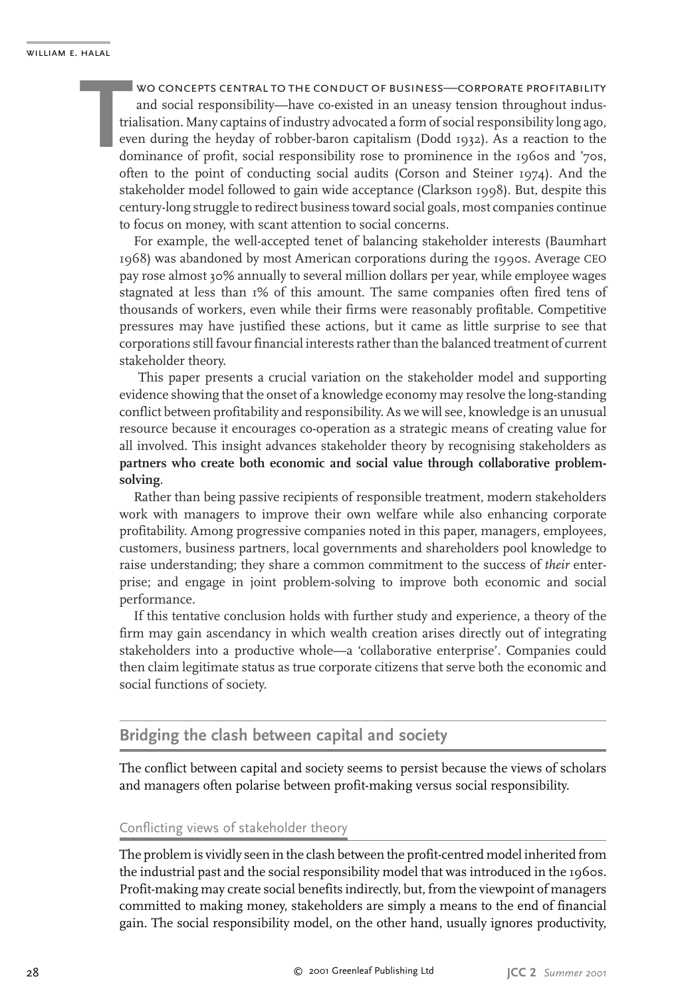wo concepts central to the conduct of business—corporate profitability and social responsibility—have co-existed in an uneasy tension throughout industrialisation. Many captains of industry advocated a form of social responsibility long ago, even during the heyday of robber-baron capitalism (Dodd 1932). As a reaction to the dominance of profit, social responsibility rose to prominence in the 1960s and '70s, often to the point of conducting social audits (Corson and Steiner 1974). And the stakeholder model followed to gain wide acceptance (Clarkson 1998). But, despite this century-long struggle to redirect business toward social goals, most companies continue to focus on money, with scant attention to social concerns. **T**

For example, the well-accepted tenet of balancing stakeholder interests (Baumhart 1968) was abandoned by most American corporations during the 1990s. Average CEO pay rose almost 30% annually to several million dollars per year, while employee wages stagnated at less than 1% of this amount. The same companies often fired tens of thousands of workers, even while their firms were reasonably profitable. Competitive pressures may have justified these actions, but it came as little surprise to see that corporations still favour financial interests rather than the balanced treatment of current stakeholder theory.

This paper presents a crucial variation on the stakeholder model and supporting evidence showing that the onset of a knowledge economy may resolve the long-standing conflict between profitability and responsibility. As we will see, knowledge is an unusual resource because it encourages co-operation as a strategic means of creating value for all involved. This insight advances stakeholder theory by recognising stakeholders as **partners who create both economic and social value through collaborative problemsolving**.

Rather than being passive recipients of responsible treatment, modern stakeholders work with managers to improve their own welfare while also enhancing corporate profitability. Among progressive companies noted in this paper, managers, employees, customers, business partners, local governments and shareholders pool knowledge to raise understanding; they share a common commitment to the success of *their* enterprise; and engage in joint problem-solving to improve both economic and social performance.

If this tentative conclusion holds with further study and experience, a theory of the firm may gain ascendancy in which wealth creation arises directly out of integrating stakeholders into a productive whole—a 'collaborative enterprise'. Companies could then claim legitimate status as true corporate citizens that serve both the economic and social functions of society.

# **Bridging the clash between capital and society**

The conflict between capital and society seems to persist because the views of scholars and managers often polarise between profit-making versus social responsibility.

## Conflicting views of stakeholder theory

The problem is vividly seen in the clash between the profit-centred model inherited from the industrial past and the social responsibility model that was introduced in the 1960s. Profit-making may create social benefits indirectly, but, from the viewpoint of managers committed to making money, stakeholders are simply a means to the end of financial gain. The social responsibility model, on the other hand, usually ignores productivity,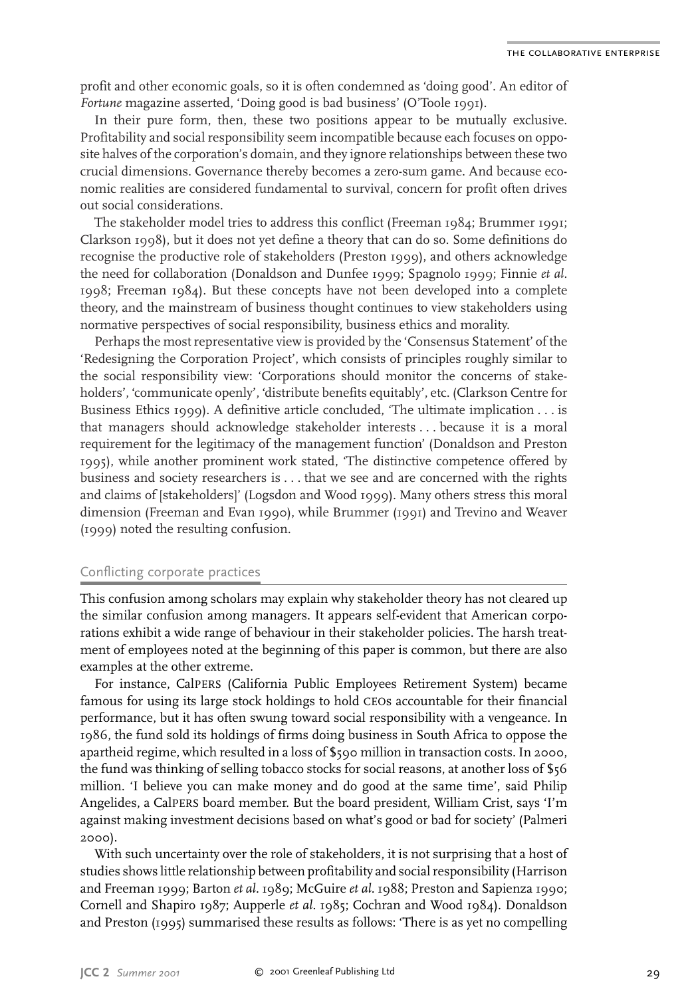profit and other economic goals, so it is often condemned as 'doing good'. An editor of *Fortune* magazine asserted, 'Doing good is bad business' (O'Toole 1991).

In their pure form, then, these two positions appear to be mutually exclusive. Profitability and social responsibility seem incompatible because each focuses on opposite halves of the corporation's domain, and they ignore relationships between these two crucial dimensions. Governance thereby becomes a zero-sum game. And because economic realities are considered fundamental to survival, concern for profit often drives out social considerations.

The stakeholder model tries to address this conflict (Freeman 1984; Brummer 1991; Clarkson 1998), but it does not yet define a theory that can do so. Some definitions do recognise the productive role of stakeholders (Preston 1999), and others acknowledge the need for collaboration (Donaldson and Dunfee 1999; Spagnolo 1999; Finnie *et al.* 1998; Freeman 1984). But these concepts have not been developed into a complete theory, and the mainstream of business thought continues to view stakeholders using normative perspectives of social responsibility, business ethics and morality.

Perhaps the most representative view is provided by the 'Consensus Statement' of the 'Redesigning the Corporation Project', which consists of principles roughly similar to the social responsibility view: 'Corporations should monitor the concerns of stakeholders', 'communicate openly', 'distribute benefits equitably', etc. (Clarkson Centre for Business Ethics 1999). A definitive article concluded, 'The ultimate implication . . . is that managers should acknowledge stakeholder interests... because it is a moral requirement for the legitimacy of the management function' (Donaldson and Preston 1995), while another prominent work stated, 'The distinctive competence offered by business and society researchers is... that we see and are concerned with the rights and claims of [stakeholders]' (Logsdon and Wood 1999). Many others stress this moral dimension (Freeman and Evan 1990), while Brummer (1991) and Trevino and Weaver (1999) noted the resulting confusion.

## Conflicting corporate practices

This confusion among scholars may explain why stakeholder theory has not cleared up the similar confusion among managers. It appears self-evident that American corporations exhibit a wide range of behaviour in their stakeholder policies. The harsh treatment of employees noted at the beginning of this paper is common, but there are also examples at the other extreme.

For instance, CalPERS (California Public Employees Retirement System) became famous for using its large stock holdings to hold CEOs accountable for their financial performance, but it has often swung toward social responsibility with a vengeance. In 1986, the fund sold its holdings of firms doing business in South Africa to oppose the apartheid regime, which resulted in a loss of \$590 million in transaction costs. In 2000, the fund was thinking of selling tobacco stocks for social reasons, at another loss of \$56 million. 'I believe you can make money and do good at the same time', said Philip Angelides, a CalPERS board member. But the board president, William Crist, says 'I'm against making investment decisions based on what's good or bad for society' (Palmeri 2000).

With such uncertainty over the role of stakeholders, it is not surprising that a host of studies shows little relationship between profitability and social responsibility (Harrison and Freeman 1999; Barton *et al.* 1989; McGuire *et al.* 1988; Preston and Sapienza 1990; Cornell and Shapiro 1987; Aupperle *et al.* 1985; Cochran and Wood 1984). Donaldson and Preston (1995) summarised these results as follows: 'There is as yet no compelling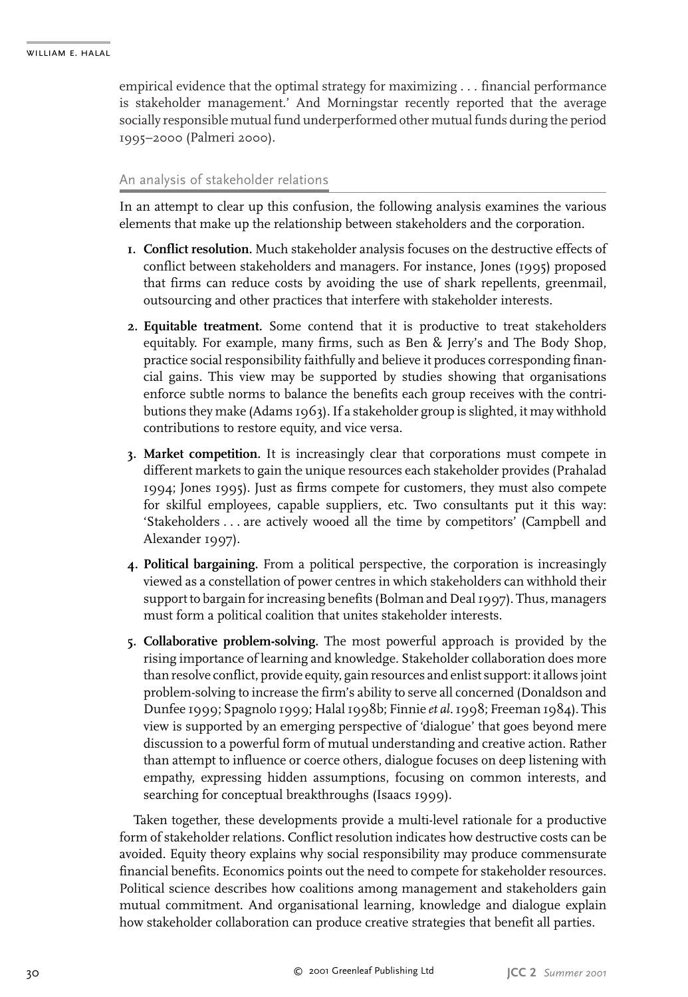empirical evidence that the optimal strategy for maximizing . . . financial performance is stakeholder management.' And Morningstar recently reported that the average socially responsible mutual fund underperformed other mutual funds during the period 1995–2000 (Palmeri 2000).

# An analysis of stakeholder relations

In an attempt to clear up this confusion, the following analysis examines the various elements that make up the relationship between stakeholders and the corporation.

- **1. Conflict resolution.** Much stakeholder analysis focuses on the destructive effects of conflict between stakeholders and managers. For instance, Jones (1995) proposed that firms can reduce costs by avoiding the use of shark repellents, greenmail, outsourcing and other practices that interfere with stakeholder interests.
- **2. Equitable treatment.** Some contend that it is productive to treat stakeholders equitably. For example, many firms, such as Ben & Jerry's and The Body Shop, practice social responsibility faithfully and believe it produces corresponding financial gains. This view may be supported by studies showing that organisations enforce subtle norms to balance the benefits each group receives with the contributions they make (Adams 1963). If a stakeholder group is slighted, it may withhold contributions to restore equity, and vice versa.
- **3. Market competition.** It is increasingly clear that corporations must compete in different markets to gain the unique resources each stakeholder provides (Prahalad 1994; Jones 1995). Just as firms compete for customers, they must also compete for skilful employees, capable suppliers, etc. Two consultants put it this way: 'Stakeholders... are actively wooed all the time by competitors' (Campbell and Alexander 1997).
- **4. Political bargaining.** From a political perspective, the corporation is increasingly viewed as a constellation of power centres in which stakeholders can withhold their support to bargain for increasing benefits (Bolman and Deal 1997). Thus, managers must form a political coalition that unites stakeholder interests.
- **5. Collaborative problem-solving.** The most powerful approach is provided by the rising importance of learning and knowledge. Stakeholder collaboration does more than resolve conflict, provide equity, gain resources and enlist support: it allows joint problem-solving to increase the firm's ability to serve all concerned (Donaldson and Dunfee 1999; Spagnolo 1999; Halal 1998b; Finnie *et al.*1998; Freeman 1984). This view is supported by an emerging perspective of 'dialogue' that goes beyond mere discussion to a powerful form of mutual understanding and creative action. Rather than attempt to influence or coerce others, dialogue focuses on deep listening with empathy, expressing hidden assumptions, focusing on common interests, and searching for conceptual breakthroughs (Isaacs 1999).

Taken together, these developments provide a multi-level rationale for a productive form of stakeholder relations. Conflict resolution indicates how destructive costs can be avoided. Equity theory explains why social responsibility may produce commensurate financial benefits. Economics points out the need to compete for stakeholder resources. Political science describes how coalitions among management and stakeholders gain mutual commitment. And organisational learning, knowledge and dialogue explain how stakeholder collaboration can produce creative strategies that benefit all parties.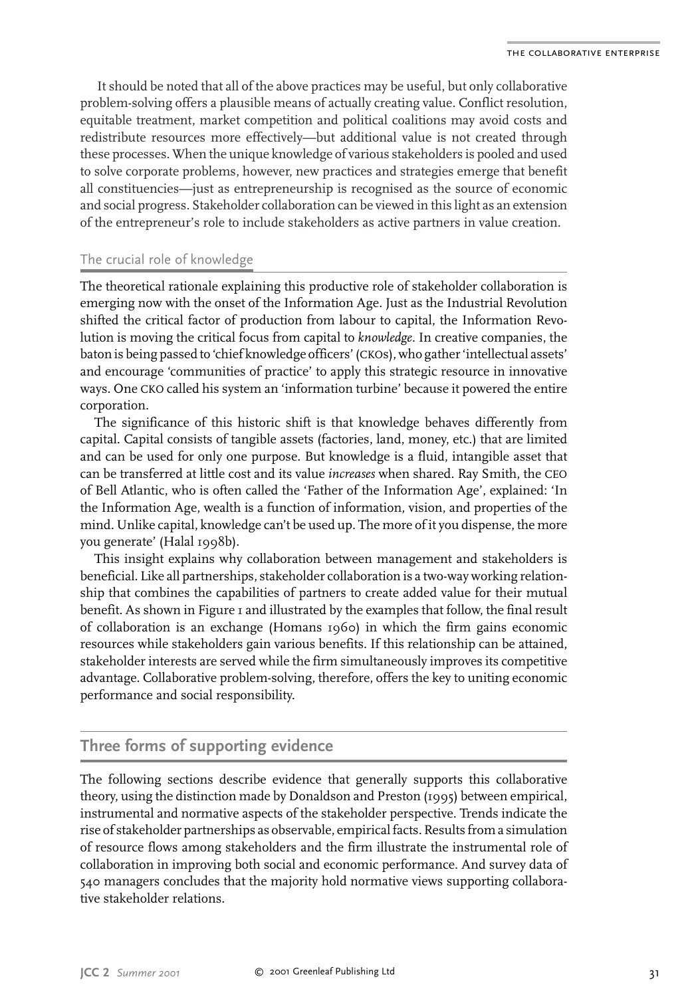It should be noted that all of the above practices may be useful, but only collaborative problem-solving offers a plausible means of actually creating value. Conflict resolution, equitable treatment, market competition and political coalitions may avoid costs and redistribute resources more effectively—but additional value is not created through these processes. When the unique knowledge of various stakeholders is pooled and used to solve corporate problems, however, new practices and strategies emerge that benefit all constituencies—just as entrepreneurship is recognised as the source of economic and social progress. Stakeholder collaboration can be viewed in this light as an extension of the entrepreneur's role to include stakeholders as active partners in value creation.

# The crucial role of knowledge

The theoretical rationale explaining this productive role of stakeholder collaboration is emerging now with the onset of the Information Age. Just as the Industrial Revolution shifted the critical factor of production from labour to capital, the Information Revolution is moving the critical focus from capital to *knowledge.* In creative companies, the baton is being passed to 'chief knowledge officers' (CKOs), who gather 'intellectual assets' and encourage 'communities of practice' to apply this strategic resource in innovative ways. One CKO called his system an 'information turbine' because it powered the entire corporation.

The significance of this historic shift is that knowledge behaves differently from capital. Capital consists of tangible assets (factories, land, money, etc.) that are limited and can be used for only one purpose. But knowledge is a fluid, intangible asset that can be transferred at little cost and its value *increases* when shared. Ray Smith, the CEO of Bell Atlantic, who is often called the 'Father of the Information Age', explained: 'In the Information Age, wealth is a function of information, vision, and properties of the mind. Unlike capital, knowledge can't be used up. The more of it you dispense, the more you generate' (Halal 1998b).

This insight explains why collaboration between management and stakeholders is beneficial. Like all partnerships, stakeholder collaboration is a two-way working relationship that combines the capabilities of partners to create added value for their mutual benefit. As shown in Figure 1 and illustrated by the examples that follow, the final result of collaboration is an exchange (Homans 1960) in which the firm gains economic resources while stakeholders gain various benefits. If this relationship can be attained, stakeholder interests are served while the firm simultaneously improves its competitive advantage. Collaborative problem-solving, therefore, offers the key to uniting economic performance and social responsibility.

# **Three forms of supporting evidence**

The following sections describe evidence that generally supports this collaborative theory, using the distinction made by Donaldson and Preston (1995) between empirical, instrumental and normative aspects of the stakeholder perspective. Trends indicate the rise of stakeholder partnerships as observable, empirical facts. Results from a simulation of resource flows among stakeholders and the firm illustrate the instrumental role of collaboration in improving both social and economic performance. And survey data of 540 managers concludes that the majority hold normative views supporting collaborative stakeholder relations.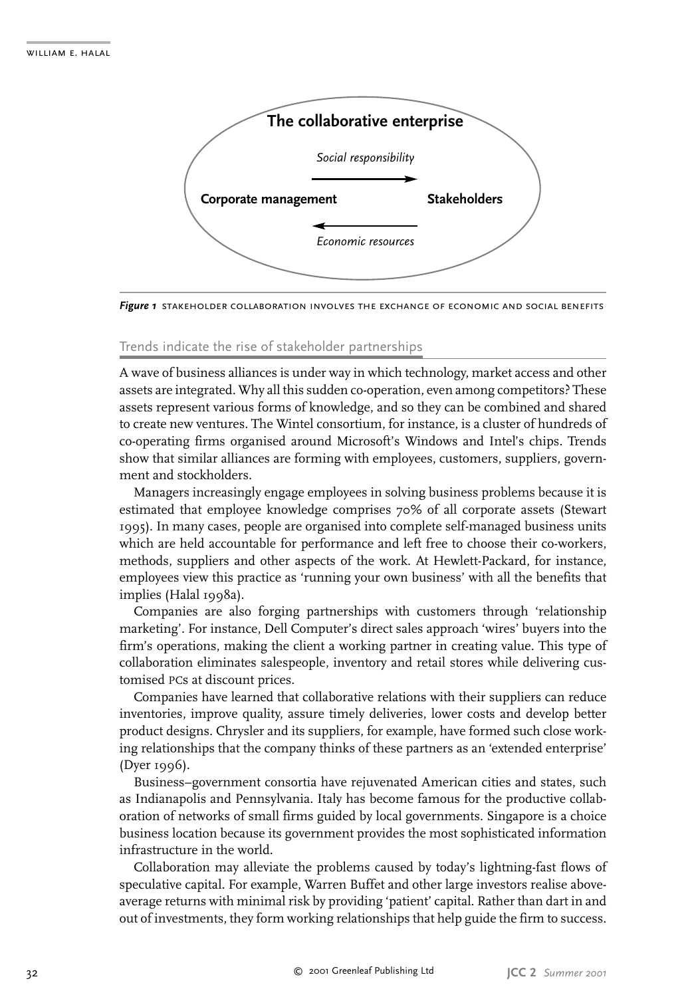

*Figure 1* stakeholder collaboration involves the exchange of economic and social benefits

## Trends indicate the rise of stakeholder partnerships

A wave of business alliances is under way in which technology, market access and other assets are integrated. Why all this sudden co-operation, even among competitors? These assets represent various forms of knowledge, and so they can be combined and shared to create new ventures. The Wintel consortium, for instance, is a cluster of hundreds of co-operating firms organised around Microsoft's Windows and Intel's chips. Trends show that similar alliances are forming with employees, customers, suppliers, government and stockholders.

Managers increasingly engage employees in solving business problems because it is estimated that employee knowledge comprises 70% of all corporate assets (Stewart 1995). In many cases, people are organised into complete self-managed business units which are held accountable for performance and left free to choose their co-workers, methods, suppliers and other aspects of the work. At Hewlett-Packard, for instance, employees view this practice as 'running your own business' with all the benefits that implies (Halal 1998a).

Companies are also forging partnerships with customers through 'relationship marketing'. For instance, Dell Computer's direct sales approach 'wires' buyers into the firm's operations, making the client a working partner in creating value. This type of collaboration eliminates salespeople, inventory and retail stores while delivering customised PCs at discount prices.

Companies have learned that collaborative relations with their suppliers can reduce inventories, improve quality, assure timely deliveries, lower costs and develop better product designs. Chrysler and its suppliers, for example, have formed such close working relationships that the company thinks of these partners as an 'extended enterprise' (Dyer 1996).

Business–government consortia have rejuvenated American cities and states, such as Indianapolis and Pennsylvania. Italy has become famous for the productive collaboration of networks of small firms guided by local governments. Singapore is a choice business location because its government provides the most sophisticated information infrastructure in the world.

Collaboration may alleviate the problems caused by today's lightning-fast flows of speculative capital. For example, Warren Buffet and other large investors realise aboveaverage returns with minimal risk by providing 'patient' capital. Rather than dart in and out of investments, they form working relationships that help guide the firm to success.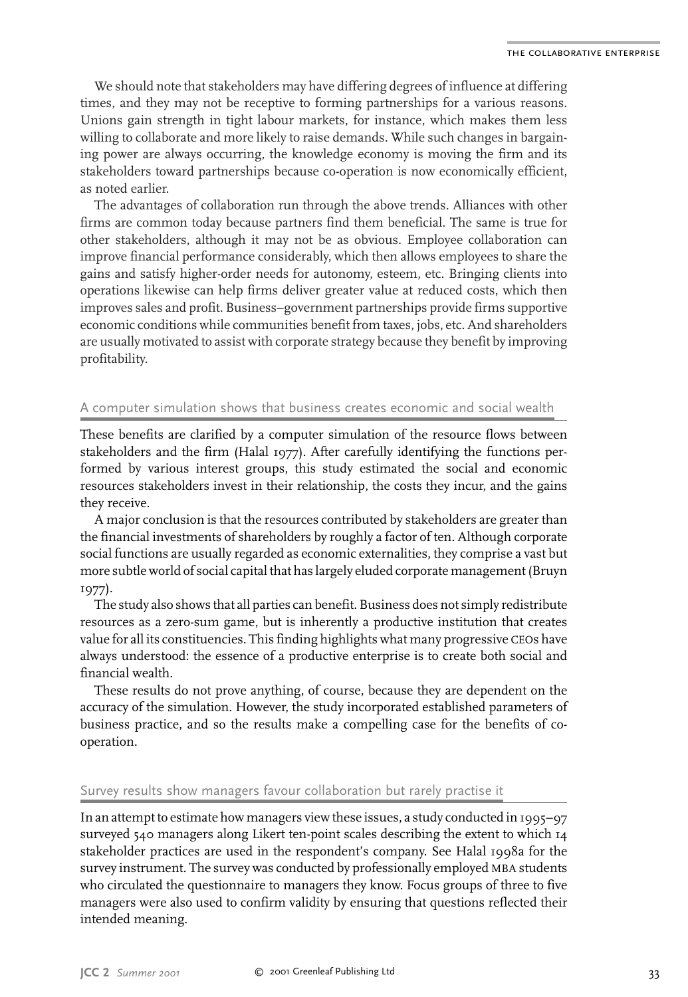We should note that stakeholders may have differing degrees of influence at differing times, and they may not be receptive to forming partnerships for a various reasons. Unions gain strength in tight labour markets, for instance, which makes them less willing to collaborate and more likely to raise demands. While such changes in bargaining power are always occurring, the knowledge economy is moving the firm and its stakeholders toward partnerships because co-operation is now economically efficient, as noted earlier.

The advantages of collaboration run through the above trends. Alliances with other firms are common today because partners find them beneficial. The same is true for other stakeholders, although it may not be as obvious. Employee collaboration can improve financial performance considerably, which then allows employees to share the gains and satisfy higher-order needs for autonomy, esteem, etc. Bringing clients into operations likewise can help firms deliver greater value at reduced costs, which then improves sales and profit. Business–government partnerships provide firms supportive economic conditions while communities benefit from taxes, jobs, etc. And shareholders are usually motivated to assist with corporate strategy because they benefit by improving profitability.

# A computer simulation shows that business creates economic and social wealth

These benefits are clarified by a computer simulation of the resource flows between stakeholders and the firm (Halal 1977). After carefully identifying the functions performed by various interest groups, this study estimated the social and economic resources stakeholders invest in their relationship, the costs they incur, and the gains they receive.

A major conclusion is that the resources contributed by stakeholders are greater than the financial investments of shareholders by roughly a factor of ten. Although corporate social functions are usually regarded as economic externalities, they comprise a vast but more subtle world of social capital that has largely eluded corporate management (Bruyn 1977).

The study also shows that all parties can benefit. Business does not simply redistribute resources as a zero-sum game, but is inherently a productive institution that creates value for all its constituencies. This finding highlights what many progressive CEOs have always understood: the essence of a productive enterprise is to create both social and financial wealth.

These results do not prove anything, of course, because they are dependent on the accuracy of the simulation. However, the study incorporated established parameters of business practice, and so the results make a compelling case for the benefits of cooperation.

# Survey results show managers favour collaboration but rarely practise it

In an attempt to estimate how managers view these issues, a study conducted in 1995–97 surveyed 540 managers along Likert ten-point scales describing the extent to which 14 stakeholder practices are used in the respondent's company. See Halal 1998a for the survey instrument. The survey was conducted by professionally employed MBA students who circulated the questionnaire to managers they know. Focus groups of three to five managers were also used to confirm validity by ensuring that questions reflected their intended meaning.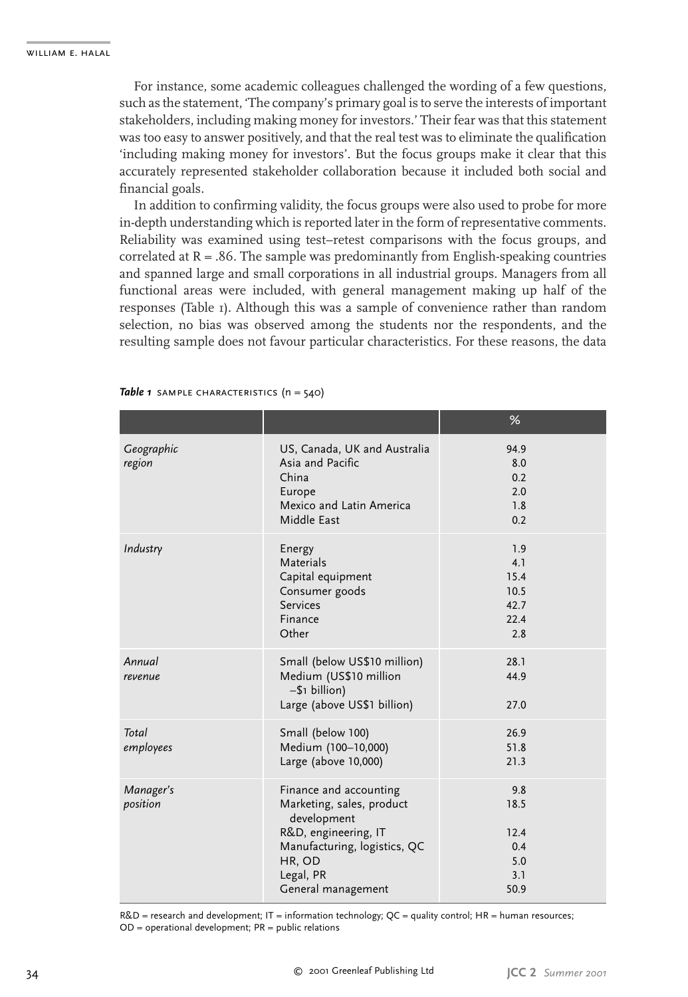For instance, some academic colleagues challenged the wording of a few questions, such as the statement, 'The company's primary goal is to serve the interests of important stakeholders, including making money for investors.' Their fear was that this statement was too easy to answer positively, and that the real test was to eliminate the qualification 'including making money for investors'. But the focus groups make it clear that this accurately represented stakeholder collaboration because it included both social and financial goals.

In addition to confirming validity, the focus groups were also used to probe for more in-depth understanding which is reported later in the form of representative comments. Reliability was examined using test–retest comparisons with the focus groups, and correlated at  $R = 0.86$ . The sample was predominantly from English-speaking countries and spanned large and small corporations in all industrial groups. Managers from all functional areas were included, with general management making up half of the responses (Table 1). Although this was a sample of convenience rather than random selection, no bias was observed among the students nor the respondents, and the resulting sample does not favour particular characteristics. For these reasons, the data

|                       |                                                                                                                                                                         | %                                                 |
|-----------------------|-------------------------------------------------------------------------------------------------------------------------------------------------------------------------|---------------------------------------------------|
| Geographic<br>region  | US, Canada, UK and Australia<br>Asia and Pacific<br>China<br>Europe<br>Mexico and Latin America<br>Middle East                                                          | 94.9<br>8.0<br>0.2<br>2.0<br>1.8<br>0.2           |
| Industry              | Energy<br>Materials<br>Capital equipment<br>Consumer goods<br><b>Services</b><br>Finance<br>Other                                                                       | 1.9<br>4.1<br>15.4<br>10.5<br>42.7<br>22.4<br>2.8 |
| Annual<br>revenue     | Small (below US\$10 million)<br>Medium (US\$10 million<br>$-\$1$ billion)<br>Large (above US\$1 billion)                                                                | 28.1<br>44.9<br>27.0                              |
| Total<br>employees    | Small (below 100)<br>Medium (100-10,000)<br>Large (above 10,000)                                                                                                        | 26.9<br>51.8<br>21.3                              |
| Manager's<br>position | Finance and accounting<br>Marketing, sales, product<br>development<br>R&D, engineering, IT<br>Manufacturing, logistics, QC<br>HR, OD<br>Legal, PR<br>General management | 9.8<br>18.5<br>12.4<br>0.4<br>5.0<br>3.1<br>50.9  |

#### **Table 1** SAMPLE CHARACTERISTICS (n = 540)

R&D = research and development; IT = information technology; QC = quality control; HR = human resources;  $OD = operation$  development;  $PR = public$  relations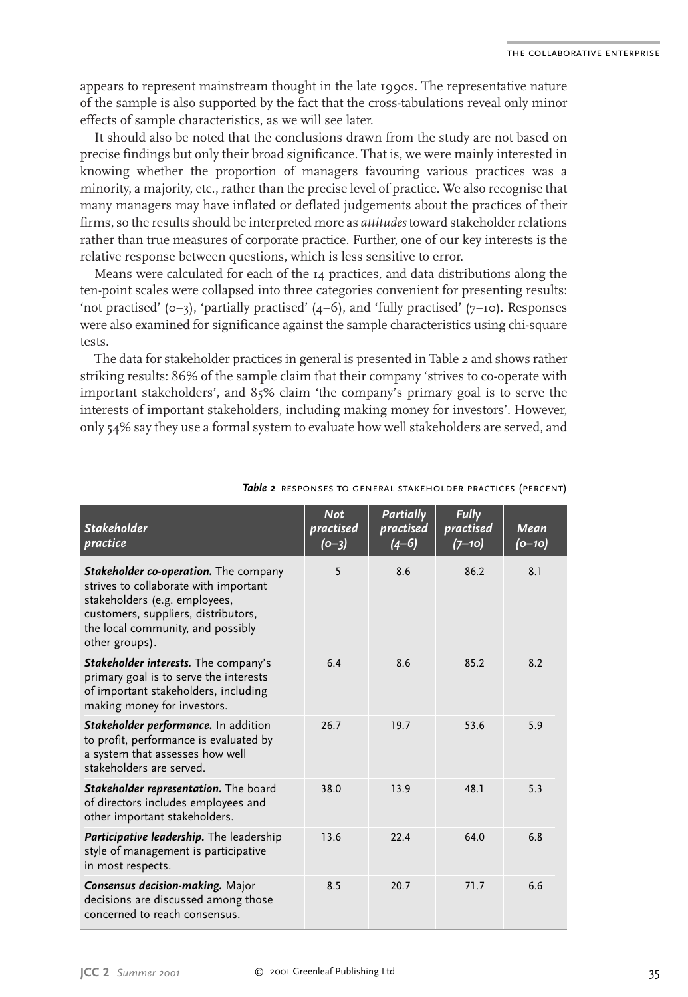appears to represent mainstream thought in the late 1990s. The representative nature of the sample is also supported by the fact that the cross-tabulations reveal only minor effects of sample characteristics, as we will see later.

It should also be noted that the conclusions drawn from the study are not based on precise findings but only their broad significance. That is, we were mainly interested in knowing whether the proportion of managers favouring various practices was a minority, a majority, etc., rather than the precise level of practice. We also recognise that many managers may have inflated or deflated judgements about the practices of their firms, so the results should be interpreted more as *attitudes* toward stakeholder relations rather than true measures of corporate practice. Further, one of our key interests is the relative response between questions, which is less sensitive to error.

Means were calculated for each of the 14 practices, and data distributions along the ten-point scales were collapsed into three categories convenient for presenting results: 'not practised'  $(o-3)$ , 'partially practised'  $(a-6)$ , and 'fully practised'  $(7-a)$ . Responses were also examined for significance against the sample characteristics using chi-square tests.

The data for stakeholder practices in general is presented in Table 2 and shows rather striking results: 86% of the sample claim that their company 'strives to co-operate with important stakeholders', and 85% claim 'the company's primary goal is to serve the interests of important stakeholders, including making money for investors'. However, only 54% say they use a formal system to evaluate how well stakeholders are served, and

| <b>Stakeholder</b><br><i>practice</i>                                                                                                                                                                         | <b>Not</b><br><i><b>practised</b></i><br>$(O-3)$ | Partially<br>practised<br>$(4-6)$ | <b>Fully</b><br>practised<br>$\sqrt{7-10}$ | Mean<br>$(0 - 10)$ |
|---------------------------------------------------------------------------------------------------------------------------------------------------------------------------------------------------------------|--------------------------------------------------|-----------------------------------|--------------------------------------------|--------------------|
| Stakeholder co-operation. The company<br>strives to collaborate with important<br>stakeholders (e.g. employees,<br>customers, suppliers, distributors,<br>the local community, and possibly<br>other groups). | 5                                                | 8.6                               | 86.2                                       | 8.1                |
| <b>Stakeholder interests.</b> The company's<br>primary goal is to serve the interests<br>of important stakeholders, including<br>making money for investors.                                                  | 6.4                                              | 8.6                               | 85.2                                       | 8.2                |
| Stakeholder performance. In addition<br>to profit, performance is evaluated by<br>a system that assesses how well<br>stakeholders are served.                                                                 | 26.7                                             | 19.7                              | 53.6                                       | 5.9                |
| Stakeholder representation. The board<br>of directors includes employees and<br>other important stakeholders.                                                                                                 | 38.0                                             | 13.9                              | 48.1                                       | 5.3                |
| Participative leadership. The leadership<br>style of management is participative<br>in most respects.                                                                                                         | 13.6                                             | 22.4                              | 64.0                                       | 6.8                |
| Consensus decision-making. Major<br>decisions are discussed among those<br>concerned to reach consensus.                                                                                                      | 8.5                                              | 20.7                              | 71.7                                       | 6.6                |

#### *Table 2* responses to general stakeholder practices (percent)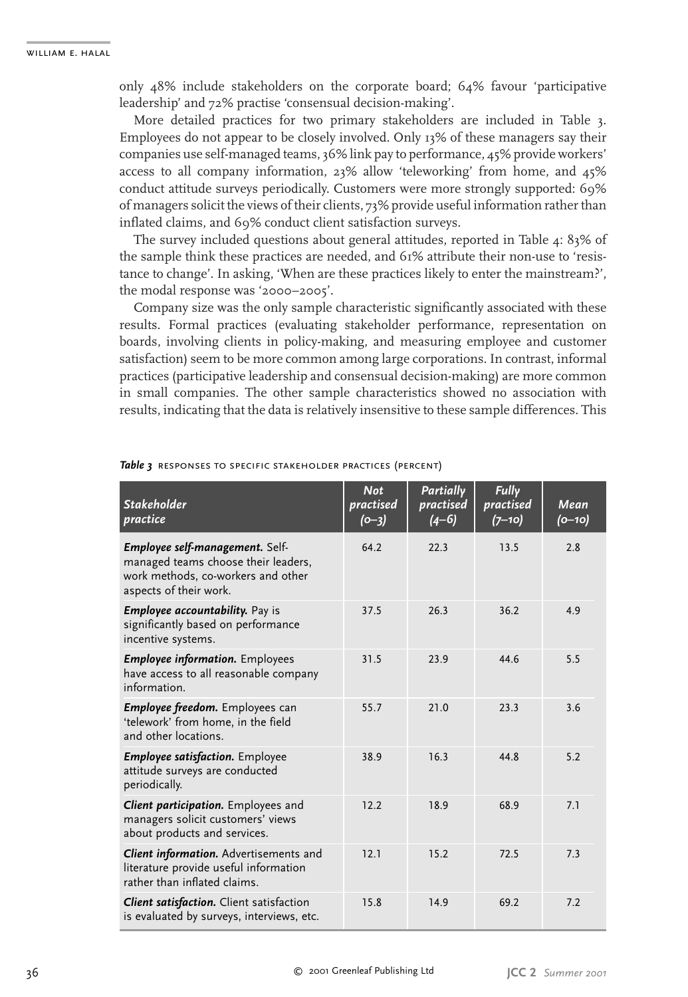only 48% include stakeholders on the corporate board; 64% favour 'participative leadership' and 72% practise 'consensual decision-making'.

More detailed practices for two primary stakeholders are included in Table 3. Employees do not appear to be closely involved. Only 13% of these managers say their companies use self-managed teams, 36% link pay to performance, 45% provide workers' access to all company information, 23% allow 'teleworking' from home, and 45% conduct attitude surveys periodically. Customers were more strongly supported: 69% of managers solicit the views of their clients, 73% provide useful information rather than inflated claims, and 69% conduct client satisfaction surveys.

The survey included questions about general attitudes, reported in Table 4: 83% of the sample think these practices are needed, and 61% attribute their non-use to 'resistance to change'. In asking, 'When are these practices likely to enter the mainstream?', the modal response was '2000–2005'.

Company size was the only sample characteristic significantly associated with these results. Formal practices (evaluating stakeholder performance, representation on boards, involving clients in policy-making, and measuring employee and customer satisfaction) seem to be more common among large corporations. In contrast, informal practices (participative leadership and consensual decision-making) are more common in small companies. The other sample characteristics showed no association with results, indicating that the data is relatively insensitive to these sample differences. This

| <b>Stakeholder</b><br>practice                                                                                                         | <b>Not</b><br>practised<br>$(O-3)$ | Partially<br>practised<br>$(4 - 6)$ | Fully<br>practised<br>$(7 - 10)$ | <b>Mean</b><br>$(0 - 10)$ |
|----------------------------------------------------------------------------------------------------------------------------------------|------------------------------------|-------------------------------------|----------------------------------|---------------------------|
| Employee self-management. Self-<br>managed teams choose their leaders,<br>work methods, co-workers and other<br>aspects of their work. | 64.2                               | 22.3                                | 13.5                             | 2.8                       |
| Employee accountability. Pay is<br>significantly based on performance<br>incentive systems.                                            | 37.5                               | 26.3                                | 36.2                             | 4.9                       |
| <b>Employee information.</b> Employees<br>have access to all reasonable company<br>information.                                        | 31.5                               | 23.9                                | 44.6                             | 5.5                       |
| Employee freedom. Employees can<br>'telework' from home, in the field<br>and other locations.                                          | 55.7                               | 21.0                                | 23.3                             | 3.6                       |
| <b>Employee satisfaction.</b> Employee<br>attitude surveys are conducted<br>periodically.                                              | 38.9                               | 16.3                                | 44.8                             | 5.2                       |
| Client participation. Employees and<br>managers solicit customers' views<br>about products and services.                               | 12.2                               | 18.9                                | 68.9                             | 7.1                       |
| Client information. Advertisements and<br>literature provide useful information<br>rather than inflated claims.                        | 12.1                               | 15.2                                | 72.5                             | 7.3                       |
| Client satisfaction. Client satisfaction<br>is evaluated by surveys, interviews, etc.                                                  | 15.8                               | 14.9                                | 69.2                             | 7.2                       |

#### *Table 3* responses to specific stakeholder practices (percent)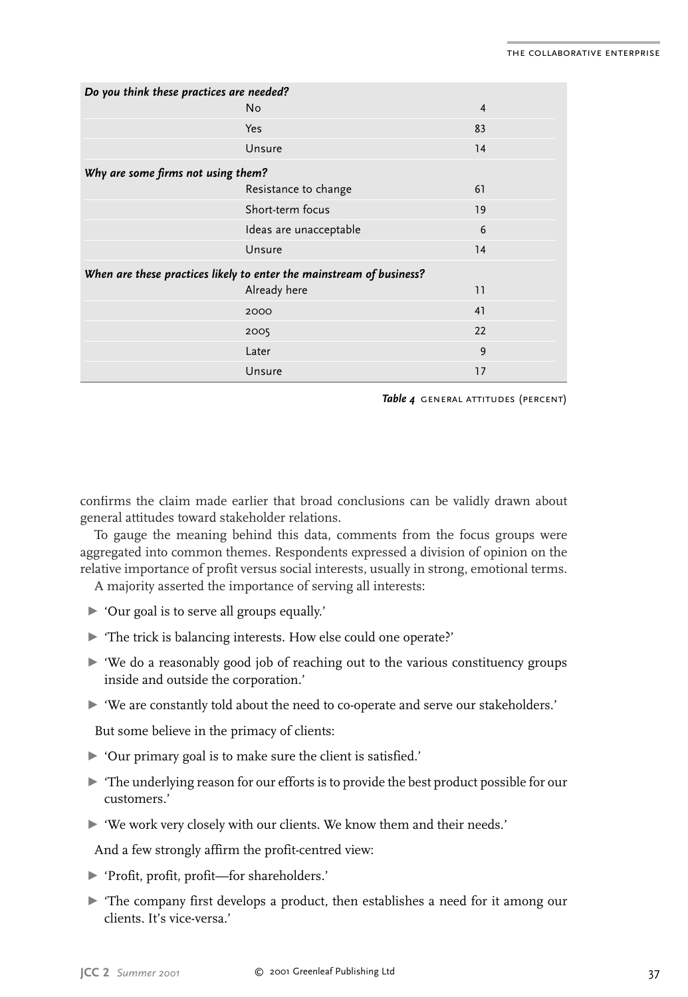| Do you think these practices are needed?                             |                        |                |  |
|----------------------------------------------------------------------|------------------------|----------------|--|
|                                                                      | No                     | $\overline{4}$ |  |
|                                                                      | <b>Yes</b>             | 83             |  |
|                                                                      | Unsure                 | 14             |  |
| Why are some firms not using them?                                   |                        |                |  |
|                                                                      | Resistance to change   | 61             |  |
|                                                                      | Short-term focus       | 19             |  |
|                                                                      | Ideas are unacceptable | 6              |  |
|                                                                      | Unsure                 | 14             |  |
| When are these practices likely to enter the mainstream of business? |                        |                |  |
|                                                                      | Already here           | 11             |  |
|                                                                      | 2000                   | 41             |  |
|                                                                      | 2005                   | 22             |  |
|                                                                      | Later                  | 9              |  |
|                                                                      | Unsure                 | 17             |  |

**Table 4** GENERAL ATTITUDES (PERCENT)

confirms the claim made earlier that broad conclusions can be validly drawn about general attitudes toward stakeholder relations.

To gauge the meaning behind this data, comments from the focus groups were aggregated into common themes. Respondents expressed a division of opinion on the relative importance of profit versus social interests, usually in strong, emotional terms.

A majority asserted the importance of serving all interests:

- 'Our goal is to serve all groups equally.'
- The trick is balancing interests. How else could one operate?'
- 'We do a reasonably good job of reaching out to the various constituency groups inside and outside the corporation.'
- Ve are constantly told about the need to co-operate and serve our stakeholders.'

But some believe in the primacy of clients:

- 'Our primary goal is to make sure the client is satisfied.'
- $\blacktriangleright$  'The underlying reason for our efforts is to provide the best product possible for our customers.'
- 'We work very closely with our clients. We know them and their needs.'

And a few strongly affirm the profit-centred view:

- t 'Profit, profit, profit—for shareholders.'
- $\blacktriangleright$  'The company first develops a product, then establishes a need for it among our clients. It's vice-versa.'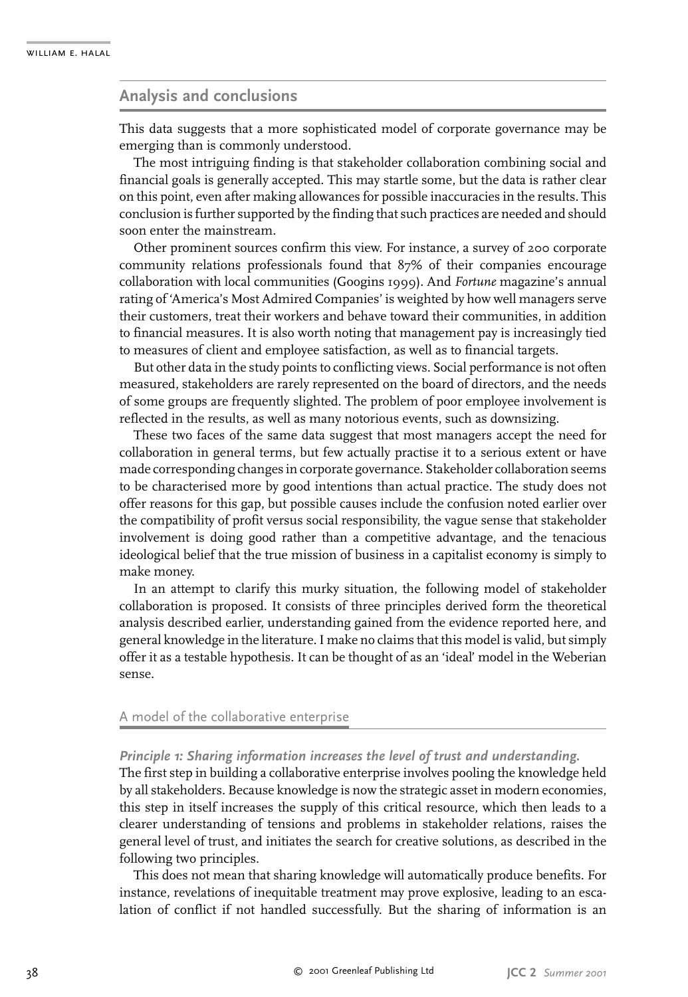# **Analysis and conclusions**

This data suggests that a more sophisticated model of corporate governance may be emerging than is commonly understood.

The most intriguing finding is that stakeholder collaboration combining social and financial goals is generally accepted. This may startle some, but the data is rather clear on this point, even after making allowances for possible inaccuracies in the results. This conclusion is further supported by the finding that such practices are needed and should soon enter the mainstream.

Other prominent sources confirm this view. For instance, a survey of 200 corporate community relations professionals found that 87% of their companies encourage collaboration with local communities (Googins 1999). And *Fortune* magazine's annual rating of 'America's Most Admired Companies' is weighted by how well managers serve their customers, treat their workers and behave toward their communities, in addition to financial measures. It is also worth noting that management pay is increasingly tied to measures of client and employee satisfaction, as well as to financial targets.

But other data in the study points to conflicting views. Social performance is not often measured, stakeholders are rarely represented on the board of directors, and the needs of some groups are frequently slighted. The problem of poor employee involvement is reflected in the results, as well as many notorious events, such as downsizing.

These two faces of the same data suggest that most managers accept the need for collaboration in general terms, but few actually practise it to a serious extent or have made corresponding changes in corporate governance. Stakeholder collaboration seems to be characterised more by good intentions than actual practice. The study does not offer reasons for this gap, but possible causes include the confusion noted earlier over the compatibility of profit versus social responsibility, the vague sense that stakeholder involvement is doing good rather than a competitive advantage, and the tenacious ideological belief that the true mission of business in a capitalist economy is simply to make money.

In an attempt to clarify this murky situation, the following model of stakeholder collaboration is proposed. It consists of three principles derived form the theoretical analysis described earlier, understanding gained from the evidence reported here, and general knowledge in the literature. I make no claims that this model is valid, but simply offer it as a testable hypothesis. It can be thought of as an 'ideal' model in the Weberian sense.

## A model of the collaborative enterprise

## *Principle 1: Sharing information increases the level of trust and understanding.*

The first step in building a collaborative enterprise involves pooling the knowledge held by all stakeholders. Because knowledge is now the strategic asset in modern economies, this step in itself increases the supply of this critical resource, which then leads to a clearer understanding of tensions and problems in stakeholder relations, raises the general level of trust, and initiates the search for creative solutions, as described in the following two principles.

This does not mean that sharing knowledge will automatically produce benefits. For instance, revelations of inequitable treatment may prove explosive, leading to an escalation of conflict if not handled successfully. But the sharing of information is an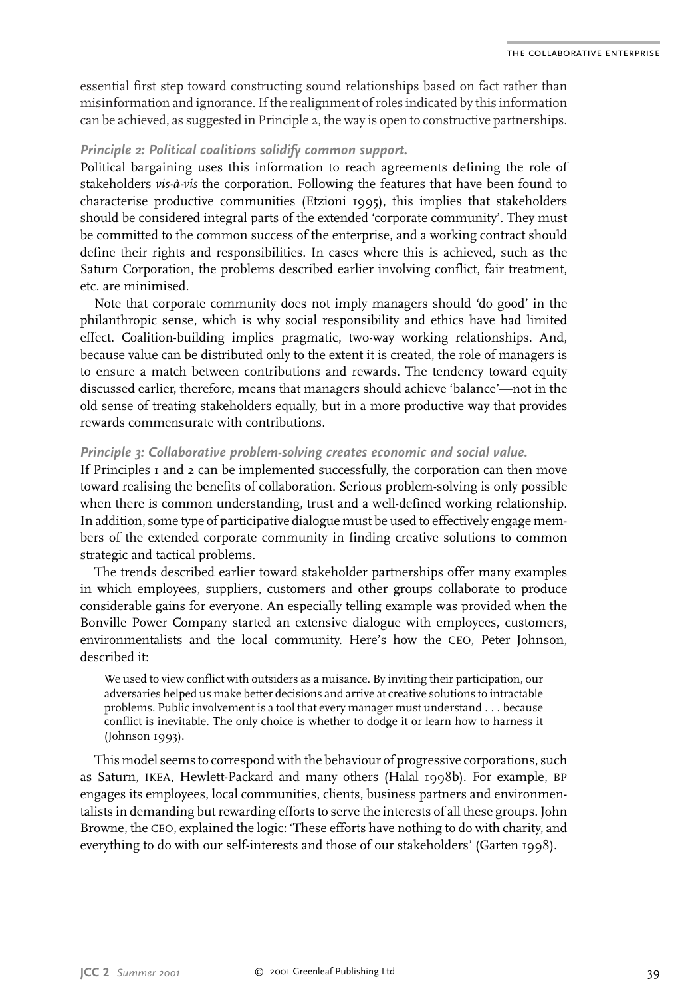essential first step toward constructing sound relationships based on fact rather than misinformation and ignorance. If the realignment of roles indicated by this information can be achieved, as suggested in Principle 2, the way is open to constructive partnerships.

# *Principle 2: Political coalitions solidify common support.*

Political bargaining uses this information to reach agreements defining the role of stakeholders *vis-à-vis* the corporation. Following the features that have been found to characterise productive communities (Etzioni 1995), this implies that stakeholders should be considered integral parts of the extended 'corporate community'. They must be committed to the common success of the enterprise, and a working contract should define their rights and responsibilities. In cases where this is achieved, such as the Saturn Corporation, the problems described earlier involving conflict, fair treatment, etc. are minimised.

Note that corporate community does not imply managers should 'do good' in the philanthropic sense, which is why social responsibility and ethics have had limited effect. Coalition-building implies pragmatic, two-way working relationships. And, because value can be distributed only to the extent it is created, the role of managers is to ensure a match between contributions and rewards. The tendency toward equity discussed earlier, therefore, means that managers should achieve 'balance'—not in the old sense of treating stakeholders equally, but in a more productive way that provides rewards commensurate with contributions.

# *Principle 3: Collaborative problem-solving creates economic and social value.*

If Principles  $I$  and  $2$  can be implemented successfully, the corporation can then move toward realising the benefits of collaboration. Serious problem-solving is only possible when there is common understanding, trust and a well-defined working relationship. In addition, some type of participative dialogue must be used to effectively engage members of the extended corporate community in finding creative solutions to common strategic and tactical problems.

The trends described earlier toward stakeholder partnerships offer many examples in which employees, suppliers, customers and other groups collaborate to produce considerable gains for everyone. An especially telling example was provided when the Bonville Power Company started an extensive dialogue with employees, customers, environmentalists and the local community. Here's how the CEO, Peter Johnson, described it:

We used to view conflict with outsiders as a nuisance. By inviting their participation, our adversaries helped us make better decisions and arrive at creative solutions to intractable problems. Public involvement is a tool that every manager must understand... because conflict is inevitable. The only choice is whether to dodge it or learn how to harness it (Johnson 1993).

This model seems to correspond with the behaviour of progressive corporations, such as Saturn, IKEA, Hewlett-Packard and many others (Halal 1998b). For example, BP engages its employees, local communities, clients, business partners and environmentalists in demanding but rewarding efforts to serve the interests of all these groups. John Browne, the CEO, explained the logic: 'These efforts have nothing to do with charity, and everything to do with our self-interests and those of our stakeholders' (Garten 1998).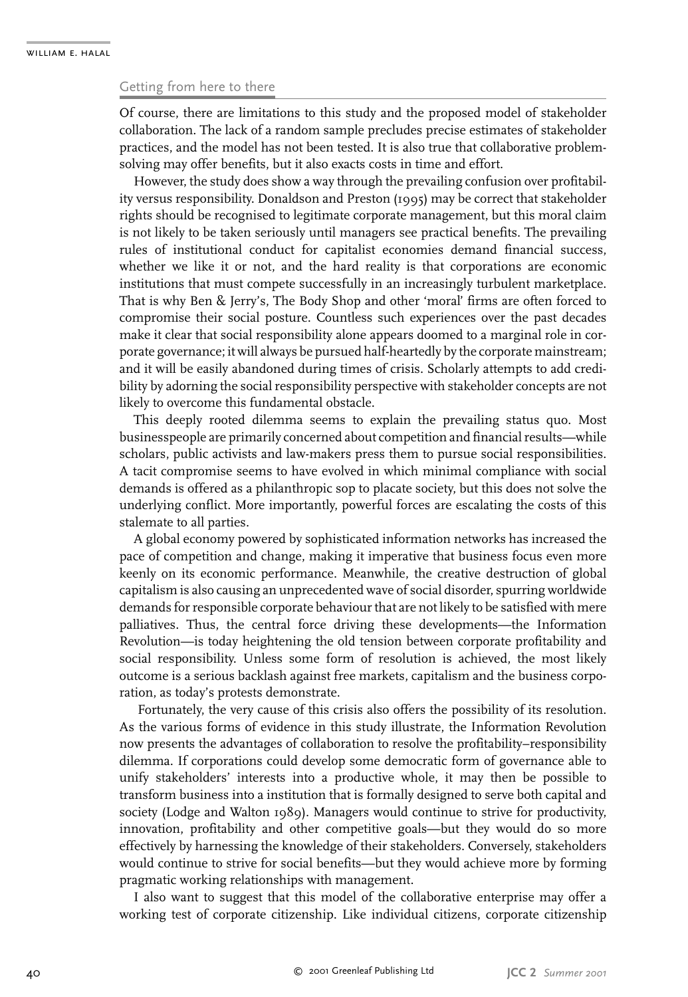# Getting from here to there

Of course, there are limitations to this study and the proposed model of stakeholder collaboration. The lack of a random sample precludes precise estimates of stakeholder practices, and the model has not been tested. It is also true that collaborative problemsolving may offer benefits, but it also exacts costs in time and effort.

However, the study does show a way through the prevailing confusion over profitability versus responsibility. Donaldson and Preston (1995) may be correct that stakeholder rights should be recognised to legitimate corporate management, but this moral claim is not likely to be taken seriously until managers see practical benefits. The prevailing rules of institutional conduct for capitalist economies demand financial success, whether we like it or not, and the hard reality is that corporations are economic institutions that must compete successfully in an increasingly turbulent marketplace. That is why Ben & Jerry's, The Body Shop and other 'moral' firms are often forced to compromise their social posture. Countless such experiences over the past decades make it clear that social responsibility alone appears doomed to a marginal role in corporate governance; it will always be pursued half-heartedly by the corporate mainstream; and it will be easily abandoned during times of crisis. Scholarly attempts to add credibility by adorning the social responsibility perspective with stakeholder concepts are not likely to overcome this fundamental obstacle.

This deeply rooted dilemma seems to explain the prevailing status quo. Most businesspeople are primarily concerned about competition and financial results—while scholars, public activists and law-makers press them to pursue social responsibilities. A tacit compromise seems to have evolved in which minimal compliance with social demands is offered as a philanthropic sop to placate society, but this does not solve the underlying conflict. More importantly, powerful forces are escalating the costs of this stalemate to all parties.

A global economy powered by sophisticated information networks has increased the pace of competition and change, making it imperative that business focus even more keenly on its economic performance. Meanwhile, the creative destruction of global capitalism is also causing an unprecedented wave of social disorder, spurring worldwide demands for responsible corporate behaviour that are not likely to be satisfied with mere palliatives. Thus, the central force driving these developments—the Information Revolution—is today heightening the old tension between corporate profitability and social responsibility. Unless some form of resolution is achieved, the most likely outcome is a serious backlash against free markets, capitalism and the business corporation, as today's protests demonstrate.

Fortunately, the very cause of this crisis also offers the possibility of its resolution. As the various forms of evidence in this study illustrate, the Information Revolution now presents the advantages of collaboration to resolve the profitability–responsibility dilemma. If corporations could develop some democratic form of governance able to unify stakeholders' interests into a productive whole, it may then be possible to transform business into a institution that is formally designed to serve both capital and society (Lodge and Walton 1989). Managers would continue to strive for productivity, innovation, profitability and other competitive goals—but they would do so more effectively by harnessing the knowledge of their stakeholders. Conversely, stakeholders would continue to strive for social benefits—but they would achieve more by forming pragmatic working relationships with management.

I also want to suggest that this model of the collaborative enterprise may offer a working test of corporate citizenship. Like individual citizens, corporate citizenship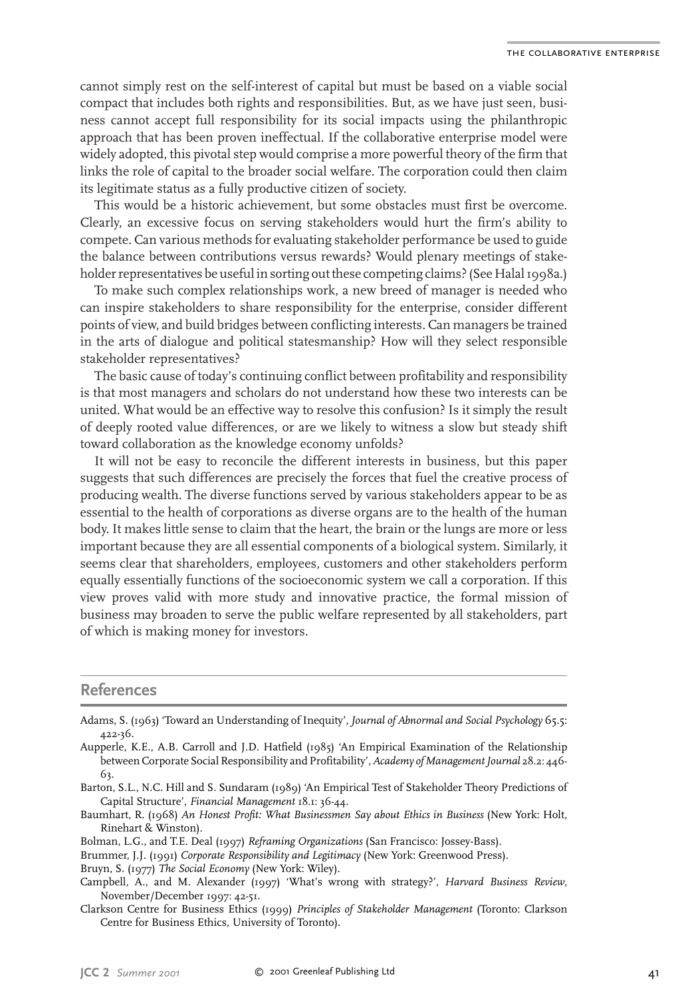cannot simply rest on the self-interest of capital but must be based on a viable social compact that includes both rights and responsibilities. But, as we have just seen, business cannot accept full responsibility for its social impacts using the philanthropic approach that has been proven ineffectual. If the collaborative enterprise model were widely adopted, this pivotal step would comprise a more powerful theory of the firm that links the role of capital to the broader social welfare. The corporation could then claim its legitimate status as a fully productive citizen of society.

This would be a historic achievement, but some obstacles must first be overcome. Clearly, an excessive focus on serving stakeholders would hurt the firm's ability to compete. Can various methods for evaluating stakeholder performance be used to guide the balance between contributions versus rewards? Would plenary meetings of stakeholder representatives be useful in sorting out these competing claims? (See Halal 1998a.)

To make such complex relationships work, a new breed of manager is needed who can inspire stakeholders to share responsibility for the enterprise, consider different points of view, and build bridges between conflicting interests. Can managers be trained in the arts of dialogue and political statesmanship? How will they select responsible stakeholder representatives?

The basic cause of today's continuing conflict between profitability and responsibility is that most managers and scholars do not understand how these two interests can be united. What would be an effective way to resolve this confusion? Is it simply the result of deeply rooted value differences, or are we likely to witness a slow but steady shift toward collaboration as the knowledge economy unfolds?

It will not be easy to reconcile the different interests in business, but this paper suggests that such differences are precisely the forces that fuel the creative process of producing wealth. The diverse functions served by various stakeholders appear to be as essential to the health of corporations as diverse organs are to the health of the human body. It makes little sense to claim that the heart, the brain or the lungs are more or less important because they are all essential components of a biological system. Similarly, it seems clear that shareholders, employees, customers and other stakeholders perform equally essentially functions of the socioeconomic system we call a corporation. If this view proves valid with more study and innovative practice, the formal mission of business may broaden to serve the public welfare represented by all stakeholders, part of which is making money for investors.

# **References**

- Adams, S. (1963) 'Toward an Understanding of Inequity', *Journal of Abnormal and Social Psychology* 65.5: 422-36.
- Aupperle, K.E., A.B. Carroll and J.D. Hatfield (1985) 'An Empirical Examination of the Relationship between Corporate Social Responsibility and Profitability', *Academy of Management Journal* 28.2: 446- 63.
- Barton, S.L., N.C. Hill and S. Sundaram (1989) 'An Empirical Test of Stakeholder Theory Predictions of Capital Structure', *Financial Management* 18.1: 36-44.

Baumhart, R. (1968) *An Honest Profit: What Businessmen Say about Ethics in Business* (New York: Holt, Rinehart & Winston).

Bolman, L.G., and T.E. Deal (1997) *Reframing Organizations* (San Francisco: Jossey-Bass).

Brummer, J.J. (1991) *Corporate Responsibility and Legitimacy* (New York: Greenwood Press).

Bruyn, S. (1977) *The Social Economy* (New York: Wiley).

Campbell, A., and M. Alexander (1997) 'What's wrong with strategy?', *Harvard Business Review*, November/December 1997: 42-51.

Clarkson Centre for Business Ethics (1999) *Principles of Stakeholder Management* (Toronto: Clarkson Centre for Business Ethics, University of Toronto).